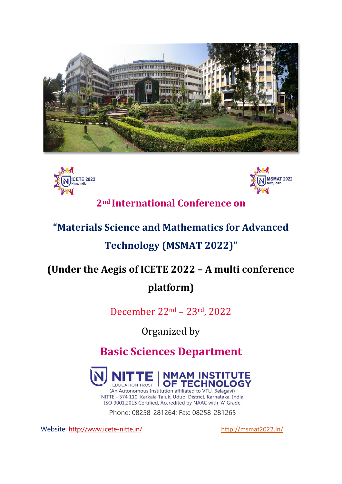





**2nd International Conference on**

# **"Materials Science and Mathematics for Advanced**

# **Technology (MSMAT 2022)"**

# **(Under the Aegis of ICETE 2022 – A multi conference platform)**

December 22nd – 23rd, 2022

Organized by

**Basic Sciences Department**



(An Autonomous Institution affiliated to VTU, Belagavi) NITTE - 574 110, Karkala Taluk, Udupi District, Karnataka, India ISO 9001:2015 Certified, Accredited by NAAC with 'A' Grade

Phone: 08258-281264; Fax: 08258-281265

Website: <http://www.icete-nitte.in/> <http://msmat2022.in/>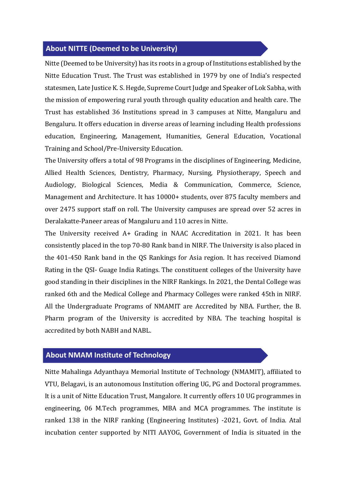#### **About NITTE (Deemed to be University)**

Nitte (Deemed to be University) has its roots in a group of Institutions established by the Nitte Education Trust. The Trust was established in 1979 by one of India's respected statesmen, Late Justice K. S. Hegde, Supreme Court Judge and Speaker of Lok Sabha, with the mission of empowering rural youth through quality education and health care. The Trust has established 36 Institutions spread in 3 campuses at Nitte, Mangaluru and Bengaluru. It offers education in diverse areas of learning including Health professions education, Engineering, Management, Humanities, General Education, Vocational Training and School/Pre-University Education.

The University offers a total of 98 Programs in the disciplines of Engineering, Medicine, Allied Health Sciences, Dentistry, Pharmacy, Nursing, Physiotherapy, Speech and Audiology, Biological Sciences, Media & Communication, Commerce, Science, Management and Architecture. It has 10000+ students, over 875 faculty members and over 2475 support staff on roll. The University campuses are spread over 52 acres in Deralakatte-Paneer areas of Mangaluru and 110 acres in Nitte.

The University received A+ Grading in NAAC Accreditation in 2021. It has been consistently placed in the top 70-80 Rank band in NIRF. The University is also placed in the 401-450 Rank band in the QS Rankings for Asia region. It has received Diamond Rating in the QSI- Guage India Ratings. The constituent colleges of the University have good standing in their disciplines in the NIRF Rankings. In 2021, the Dental College was ranked 6th and the Medical College and Pharmacy Colleges were ranked 45th in NIRF. All the Undergraduate Programs of NMAMIT are Accredited by NBA. Further, the B. Pharm program of the University is accredited by NBA. The teaching hospital is accredited by both NABH and NABL.

# **About NMAM Institute of Technology**

Nitte Mahalinga Adyanthaya Memorial Institute of Technology (NMAMIT), affiliated to VTU, Belagavi, is an autonomous Institution offering UG, PG and Doctoral programmes. It is a unit of Nitte Education Trust, Mangalore. It currently offers 10 UG programmes in engineering, 06 M.Tech programmes, MBA and MCA programmes. The institute is ranked 138 in the NIRF ranking (Engineering Institutes) -2021, Govt. of India. Atal incubation center supported by NITI AAYOG, Government of India is situated in the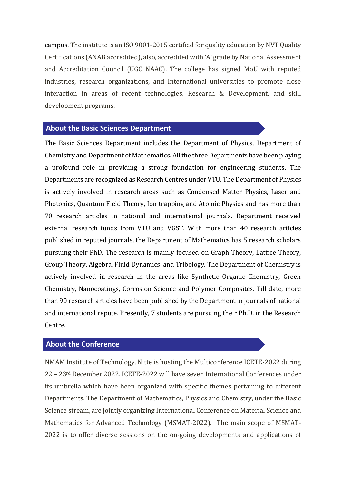campus. The institute is an ISO 9001-2015 certified for quality education by NVT Quality Certifications (ANAB accredited), also, accredited with 'A' grade by National Assessment and Accreditation Council (UGC NAAC). The college has signed MoU with reputed industries, research organizations, and International universities to promote close interaction in areas of recent technologies, Research & Development, and skill development programs.

# **About the Basic Sciences Department**

The Basic Sciences Department includes the Department of Physics, Department of Chemistry and Department of Mathematics. All the three Departments have been playing a profound role in providing a strong foundation for engineering students. The Departments are recognized as Research Centres under VTU. The Department of Physics is actively involved in research areas such as Condensed Matter Physics, Laser and Photonics, Quantum Field Theory, Ion trapping and Atomic Physics and has more than 70 research articles in national and international journals. Department received external research funds from VTU and VGST. With more than 40 research articles published in reputed journals, the Department of Mathematics has 5 research scholars pursuing their PhD. The research is mainly focused on Graph Theory, Lattice Theory, Group Theory, Algebra, Fluid Dynamics, and Tribology. The Department of Chemistry is actively involved in research in the areas like Synthetic Organic Chemistry, Green Chemistry, Nanocoatings, Corrosion Science and Polymer Composites. Till date, more than 90 research articles have been published by the Department in journals of national and international repute. Presently, 7 students are pursuing their Ph.D. in the Research Centre.

# **About the Conference**

NMAM Institute of Technology, Nitte is hosting the Multiconference ICETE-2022 during 22 – 23rd December 2022. ICETE-2022 will have seven International Conferences under its umbrella which have been organized with specific themes pertaining to different Departments. The Department of Mathematics, Physics and Chemistry, under the Basic Science stream, are jointly organizing International Conference on Material Science and Mathematics for Advanced Technology (MSMAT-2022). The main scope of MSMAT-2022 is to offer diverse sessions on the on-going developments and applications of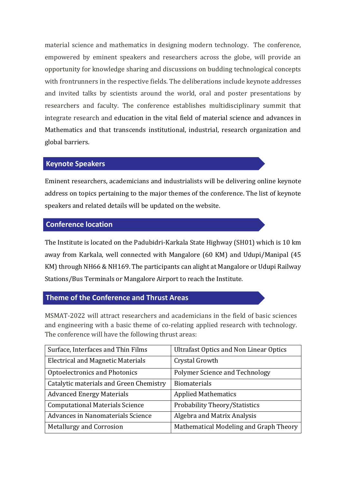material science and mathematics in designing modern technology. The conference, empowered by eminent speakers and researchers across the globe, will provide an opportunity for knowledge sharing and discussions on budding technological concepts with frontrunners in the respective fields. The deliberations include keynote addresses and invited talks by scientists around the world, oral and poster presentations by researchers and faculty. The conference establishes multidisciplinary summit that integrate research and education in the vital field of material science and advances in Mathematics and that transcends institutional, industrial, research organization and global barriers.

# **Keynote Speakers**

Eminent researchers, academicians and industrialists will be delivering online keynote address on topics pertaining to the major themes of the conference. The list of keynote speakers and related details will be updated on the website.

# **Conference location**

The Institute is located on the Padubidri-Karkala State Highway (SH01) which is 10 km away from Karkala, well connected with Mangalore (60 KM) and Udupi/Manipal (45 KM) through NH66 & NH169. The participants can alight at Mangalore or Udupi Railway Stations/Bus Terminals or Mangalore Airport to reach the Institute.

# **Theme of the Conference and Thrust Areas**

MSMAT-2022 will attract researchers and academicians in the field of basic sciences and engineering with a basic theme of co-relating applied research with technology. The conference will have the following thrust areas:

| Surface, Interfaces and Thin Films       | <b>Ultrafast Optics and Non Linear Optics</b> |
|------------------------------------------|-----------------------------------------------|
| <b>Electrical and Magnetic Materials</b> | Crystal Growth                                |
| Optoelectronics and Photonics            | Polymer Science and Technology                |
| Catalytic materials and Green Chemistry  | Biomaterials                                  |
| <b>Advanced Energy Materials</b>         | <b>Applied Mathematics</b>                    |
| <b>Computational Materials Science</b>   | Probability Theory/Statistics                 |
| Advances in Nanomaterials Science        | Algebra and Matrix Analysis                   |
| <b>Metallurgy and Corrosion</b>          | Mathematical Modeling and Graph Theory        |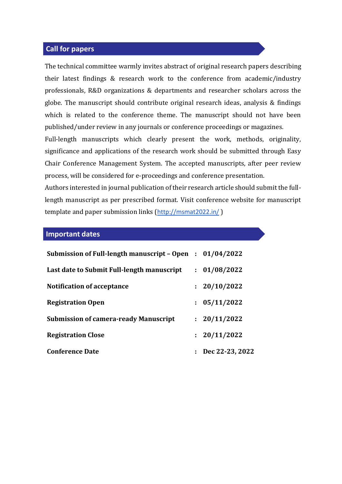#### **Call for papers**

The technical committee warmly invites abstract of original research papers describing their latest findings & research work to the conference from academic/industry professionals, R&D organizations & departments and researcher scholars across the globe. The manuscript should contribute original research ideas, analysis & findings which is related to the conference theme. The manuscript should not have been published/under review in any journals or conference proceedings or magazines.

Full-length manuscripts which clearly present the work, methods, originality, significance and applications of the research work should be submitted through Easy Chair Conference Management System. The accepted manuscripts, after peer review process, will be considered for e-proceedings and conference presentation.

Authors interested in journal publication of their research article should submit the fulllength manuscript as per prescribed format. Visit conference website for manuscript template and paper submission links (<http://msmat2022.in/> )

#### **Important dates**

| Submission of Full-length manuscript – Open : $01/04/2022$ |                              |
|------------------------------------------------------------|------------------------------|
| Last date to Submit Full-length manuscript                 | : 01/08/2022                 |
| <b>Notification of acceptance</b>                          | : 20/10/2022                 |
| <b>Registration Open</b>                                   | : 05/11/2022                 |
| <b>Submission of camera-ready Manuscript</b>               | : 20/11/2022                 |
| <b>Registration Close</b>                                  | : 20/11/2022                 |
| <b>Conference Date</b>                                     | $\therefore$ Dec 22-23, 2022 |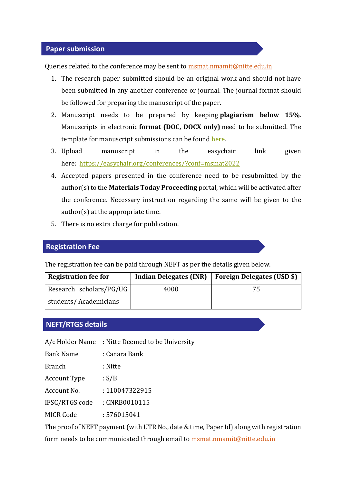#### **Paper submission**

Queries related to the conference may be sent to [msmat.nmamit@nitte.edu.in](mailto:msmat.nmamit@nitte.edu.in)

- 1. The research paper submitted should be an original work and should not have been submitted in any another conference or journal. The journal format should be followed for preparing the manuscript of the paper.
- 2. Manuscript needs to be prepared by keeping **plagiarism below 15%**. Manuscripts in electronic **format (DOC, DOCX only)** need to be submitted. The template for manuscript submissions can be found [here.](https://www.materialstoday.com/proceedings-template)
- 3. Upload manuscript in the easychair link given here: <https://easychair.org/conferences/?conf=msmat2022>
- 4. Accepted papers presented in the conference need to be resubmitted by the author(s) to the **Materials Today Proceeding** portal, which will be activated after the conference. Necessary instruction regarding the same will be given to the author(s) at the appropriate time.
- 5. There is no extra charge for publication.

# **Registration Fee**

The registration fee can be paid through NEFT as per the details given below.

| <b>Registration fee for</b> | <b>Indian Delegates (INR)</b> | Foreign Delegates (USD \$) |
|-----------------------------|-------------------------------|----------------------------|
| Research scholars/PG/UG     | 4000                          | 75                         |
| students/Academicians       |                               |                            |

# **NEFT/RTGS details**

A/c Holder Name : Nitte Deemed to be University

Bank Name : Canara Bank

Branch : Nitte

Account Type : S/B

Account No. : 110047322915

IFSC/RTGS code : CNRB0010115

MICR Code : 576015041

The proof of NEFT payment (with UTR No., date & time, Paper Id) along with registration form needs to be communicated through email to **msmat.nmamit@nitte.edu.in**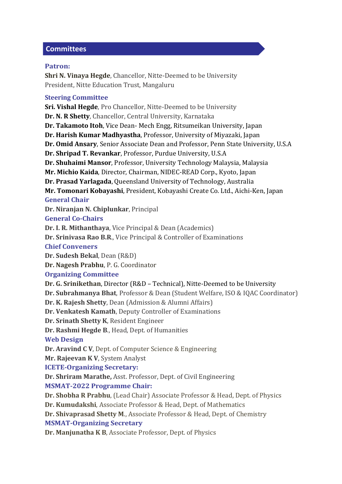# **Committees**

# **Patron:**

**Shri N. Vinaya Hegde**, Chancellor, Nitte-Deemed to be University President, Nitte Education Trust, Mangaluru

# **Steering Committee**

**Sri. Vishal Hegde**, Pro Chancellor, Nitte-Deemed to be University **Dr. N. R Shetty**, Chancellor, Central University, Karnataka **Dr. Takamoto Itoh**, Vice Dean- Mech Engg, Ritsumeikan University, Japan **Dr. Harish Kumar Madhyastha**, Professor, University of Miyazaki, Japan **Dr. Omid Ansary**, Senior Associate Dean and Professor, Penn State University, U.S.A **Dr. Shripad T. Revankar**, Professor, Purdue University, U.S.A **Dr. Shuhaimi Mansor**, Professor, University Technology Malaysia, Malaysia **Mr. Michio Kaida**, Director, Chairman, NIDEC-READ Corp., Kyoto, Japan **Dr. Prasad Yarlagada**, Queensland University of Technology, Australia **Mr. Tomonari Kobayashi**, President, Kobayashi Create Co. Ltd., Aichi-Ken, Japan **General Chair Dr. Niranjan N. Chiplunkar**, Principal **General Co-Chairs Dr. I. R. Mithanthaya**, Vice Principal & Dean (Academics) **Dr. Srinivasa Rao B.R**., Vice Principal & Controller of Examinations **Chief Conveners Dr. Sudesh Bekal**, Dean (R&D) **Dr. Nagesh Prabhu**, P. G. Coordinator **Organizing Committee Dr. G. Srinikethan**, Director (R&D – Technical), Nitte-Deemed to be University **Dr. Subrahmanya Bhat**, Professor & Dean (Student Welfare, ISO & IQAC Coordinator) **Dr. K. Rajesh Shetty**, Dean (Admission & Alumni Affairs) **Dr. Venkatesh Kamath**, Deputy Controller of Examinations **Dr. Srinath Shetty K**, Resident Engineer **Dr. Rashmi Hegde B**., Head, Dept. of Humanities **Web Design Dr. Aravind C V**, Dept. of Computer Science & Engineering **Mr. Rajeevan K V**, System Analyst **ICETE-Organizing Secretary: Dr. Shriram Marathe,** Asst. Professor, Dept. of Civil Engineering **MSMAT-2022 Programme Chair: Dr. Shobha R Prabhu**, (Lead Chair) Associate Professor & Head, Dept. of Physics **Dr. Kumudakshi**, Associate Professor & Head, Dept. of Mathematics **Dr. Shivaprasad Shetty M**., Associate Professor & Head, Dept. of Chemistry **MSMAT-Organizing Secretary Dr. Manjunatha K B**, Associate Professor, Dept. of Physics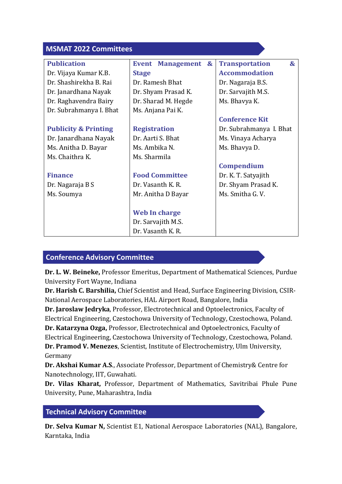| <b>MSMAT 2022 Committees</b>    |                                                        |                                       |
|---------------------------------|--------------------------------------------------------|---------------------------------------|
| <b>Publication</b>              | <b>Event</b><br><b>Management</b><br>$\mathbf{\alpha}$ | <b>Transportation</b><br>$\mathbf{g}$ |
| Dr. Vijaya Kumar K.B.           | <b>Stage</b>                                           | <b>Accommodation</b>                  |
| Dr. Shashirekha B. Rai          | Dr. Ramesh Bhat                                        | Dr. Nagaraja B.S.                     |
| Dr. Janardhana Nayak            | Dr. Shyam Prasad K.                                    | Dr. Sarvajith M.S.                    |
| Dr. Raghavendra Bairy           | Dr. Sharad M. Hegde                                    | Ms. Bhavya K.                         |
| Dr. Subrahmanya I. Bhat         | Ms. Anjana Pai K.                                      |                                       |
|                                 |                                                        | <b>Conference Kit</b>                 |
| <b>Publicity &amp; Printing</b> | <b>Registration</b>                                    | Dr. Subrahmanya I. Bhat               |
| Dr. Janardhana Nayak            | Dr. Aarti S. Bhat                                      | Ms. Vinaya Acharya                    |
| Ms. Anitha D. Bayar             | Ms. Ambika N.                                          | Ms. Bhavya D.                         |
| Ms. Chaithra K.                 | Ms. Sharmila                                           |                                       |
|                                 |                                                        | <b>Compendium</b>                     |
| <b>Finance</b>                  | <b>Food Committee</b>                                  | Dr. K. T. Satyajith                   |
| Dr. Nagaraja B S                | Dr. Vasanth K. R.                                      | Dr. Shyam Prasad K.                   |
| Ms. Soumya                      | Mr. Anitha D Bayar                                     | Ms. Smitha G.V.                       |
|                                 |                                                        |                                       |
|                                 | Web In charge                                          |                                       |
|                                 | Dr. Sarvajith M.S.                                     |                                       |
|                                 | Dr. Vasanth K. R.                                      |                                       |

# **Conference Advisory Committee**

**Dr. L. W. Beineke,** Professor Emeritus, Department of Mathematical Sciences, Purdue University Fort Wayne, Indiana

**Dr. Harish C. Barshilia,** Chief Scientist and Head, Surface Engineering Division, CSIR-National Aerospace Laboratories, HAL Airport Road, Bangalore, India

**Dr. Jaroslaw Jedryka**, Professor, Electrotechnical and Optoelectronics, Faculty of Electrical Engineering, Czestochowa University of Technology, Czestochowa, Poland.

**Dr. Katarzyna Ozga,** Professor, Electrotechnical and Optoelectronics, Faculty of Electrical Engineering, Czestochowa University of Technology, Czestochowa, Poland. **Dr. Pramod V. Menezes**, Scientist, Institute of Electrochemistry, Ulm University, Germany

**Dr. Akshai Kumar A.S**., Associate Professor, Department of Chemistry& Centre for Nanotechnology, IIT, Guwahati.

**Dr. Vilas Kharat,** Professor, Department of Mathematics, Savitribai Phule Pune University, Pune, Maharashtra, India

# **Technical Advisory Committee**

**Dr. Selva Kumar N,** Scientist E1, National Aerospace Laboratories (NAL), Bangalore, Karntaka, India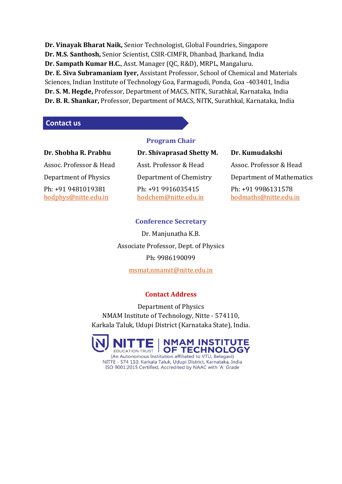**Dr. Vinayak Bharat Naik,** Senior Technologist, Global Foundries, Singapore **Dr. M.S. Santhosh,** Senior Scientist, CSIR-CIMFR, Dhanbad, Jharkand, India **Dr. Sampath Kumar H.C.**, Asst. Manager (QC, R&D), MRPL, Mangaluru. **Dr. E. Siva Subramaniam Iyer,** Assistant Professor, School of Chemical and Materials Sciences, Indian Institute of Technology Goa, Farmagudi, Ponda, Goa -403401, India **Dr. S. M. Hegde,** Professor, Department of MACS, NITK, Surathkal, Karnataka, India **Dr. B. R. Shankar,** Professor, Department of MACS, NITK, Surathkal, Karnataka, India

# **Contact us**

| Dr. Shobha R. Prabhu                       | Dr. Shivaprasad Shetty M.                  | Dr. Kumudakshi                              |
|--------------------------------------------|--------------------------------------------|---------------------------------------------|
| Assoc. Professor & Head                    | Asst. Professor & Head                     | Assoc. Professor & Head                     |
| Department of Physics                      | Department of Chemistry                    | Department of Mathematics                   |
| Ph: +91 9481019381<br>hodphys@nitte.edu.in | Ph: +91 9916035415<br>hodchem@nitte.edu.in | Ph: +91 9986131578<br>hodmaths@nitte.edu.in |

**Program Chair**

# **Conference Secretary**

Dr. Manjunatha K.B. Associate Professor, Dept. of Physics Ph: 9986190099 [msmat.nmamit@nitte.edu.in](mailto:msmat.nmamit@nitte.edu.in)

# **Contact Address**

Department of Physics NMAM Institute of Technology, Nitte - 574110, Karkala Taluk, Udupi District (Karnataka State), India.